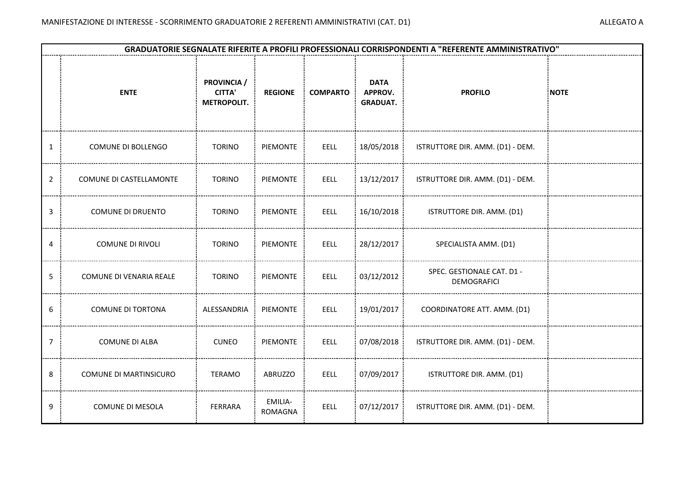|                | <b>GRADUATORIE SEGNALATE RIFERITE A PROFILI PROFESSIONALI CORRISPONDENTI A "REFERENTE AMMINISTRATIVO"</b> |                                                           |                           |                 |                                           |                                                  |             |  |  |  |  |
|----------------|-----------------------------------------------------------------------------------------------------------|-----------------------------------------------------------|---------------------------|-----------------|-------------------------------------------|--------------------------------------------------|-------------|--|--|--|--|
|                | <b>ENTE</b>                                                                                               | <b>PROVINCIA</b> /<br><b>CITTA'</b><br><b>METROPOLIT.</b> | <b>REGIONE</b>            | <b>COMPARTO</b> | <b>DATA</b><br>APPROV.<br><b>GRADUAT.</b> | <b>PROFILO</b>                                   | <b>NOTE</b> |  |  |  |  |
| 1              | COMUNE DI BOLLENGO                                                                                        | <b>TORINO</b>                                             | PIEMONTE                  | <b>EELL</b>     | 18/05/2018 :                              | ISTRUTTORE DIR. AMM. (D1) - DEM.                 |             |  |  |  |  |
| $\overline{2}$ | COMUNE DI CASTELLAMONTE                                                                                   | <b>TORINO</b>                                             | PIEMONTE                  | <b>EELL</b>     | 13/12/2017                                | ISTRUTTORE DIR. AMM. (D1) - DEM.                 |             |  |  |  |  |
| 3              | <b>COMUNE DI DRUENTO</b>                                                                                  | <b>TORINO</b>                                             | PIEMONTE                  | EELL            | 16/10/2018 :                              | ISTRUTTORE DIR. AMM. (D1)                        |             |  |  |  |  |
| 4              | <b>COMUNE DI RIVOLI</b>                                                                                   | <b>TORINO</b>                                             | PIEMONTE                  | <b>EELL</b>     | 28/12/2017 :                              | SPECIALISTA AMM. (D1)                            |             |  |  |  |  |
| 5              | COMUNE DI VENARIA REALE                                                                                   | <b>TORINO</b>                                             | PIEMONTE                  | EELL            | 03/12/2012                                | SPEC. GESTIONALE CAT. D1 -<br><b>DEMOGRAFICI</b> |             |  |  |  |  |
| 6              | COMUNE DI TORTONA                                                                                         | : ALESSANDRIA                                             | : PIEMONTE                | EELL            | $\frac{1}{2}$ 19/01/2017 $\frac{1}{2}$    | COORDINATORE ATT. AMM. (D1)                      |             |  |  |  |  |
| 7              | <b>COMUNE DI ALBA</b>                                                                                     | <b>CUNEO</b>                                              | PIEMONTE                  | EELL            | 07/08/2018                                | ISTRUTTORE DIR. AMM. (D1) - DEM.                 |             |  |  |  |  |
| 8              | <b>COMUNE DI MARTINSICURO</b>                                                                             | <b>TERAMO</b>                                             | ABRUZZO                   | EELL            | 07/09/2017                                | ISTRUTTORE DIR. AMM. (D1)                        |             |  |  |  |  |
| 9              | <b>COMUNE DI MESOLA</b>                                                                                   | FERRARA                                                   | EMILIA-<br><b>ROMAGNA</b> | <b>EELL</b>     | 07/12/2017                                | ISTRUTTORE DIR. AMM. (D1) - DEM.                 |             |  |  |  |  |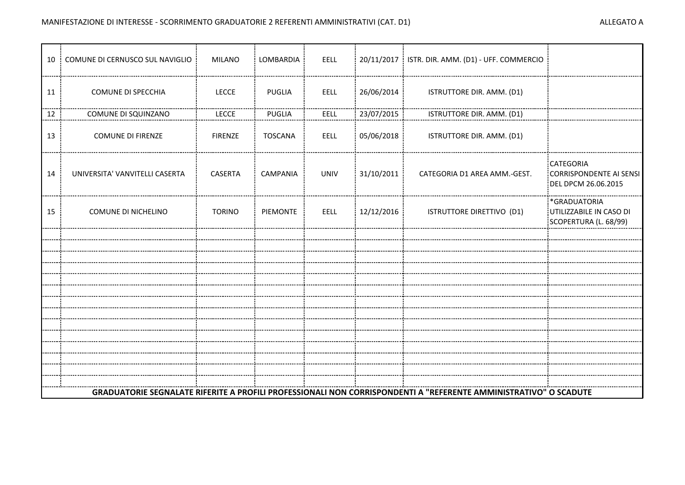|    | 10 : COMUNE DI CERNUSCO SUL NAVIGLIO | <b>MILANO</b>  | LOMBARDIA :     | EELL        |                          | 20/11/2017   ISTR. DIR. AMM. (D1) - UFF. COMMERCIO                                                               |                                                                            |
|----|--------------------------------------|----------------|-----------------|-------------|--------------------------|------------------------------------------------------------------------------------------------------------------|----------------------------------------------------------------------------|
| 11 | COMUNE DI SPECCHIA                   | <b>LECCE</b>   | PUGLIA          | EELL        | 26/06/2014               | ISTRUTTORE DIR. AMM. (D1)                                                                                        |                                                                            |
| 12 | COMUNE DI SQUINZANO                  | <b>LECCE</b>   | PUGLIA          | <b>EELL</b> | 23/07/2015               | ISTRUTTORE DIR. AMM. (D1)                                                                                        |                                                                            |
| 13 | <b>COMUNE DI FIRENZE</b>             | <b>FIRENZE</b> | TOSCANA         | EELL        | $\frac{1}{2}$ 05/06/2018 | ISTRUTTORE DIR. AMM. (D1)                                                                                        |                                                                            |
| 14 | UNIVERSITA' VANVITELLI CASERTA       | CASERTA        | CAMPANIA        | UNIV        | 31/10/2011               | CATEGORIA D1 AREA AMM.-GEST.                                                                                     | <b>CATEGORIA</b><br>CORRISPONDENTE AI SENSI<br><b>EDEL DPCM 26.06.2015</b> |
| 15 | COMUNE DI NICHELINO                  | <b>TORINO</b>  | <b>PIEMONTE</b> | EELL        | 12/12/2016               | ISTRUTTORE DIRETTIVO (D1)                                                                                        | *GRADUATORIA<br>UTILIZZABILE IN CASO DI<br>SCOPERTURA (L. 68/99)           |
|    |                                      |                |                 |             |                          |                                                                                                                  |                                                                            |
|    |                                      |                |                 |             |                          |                                                                                                                  |                                                                            |
|    |                                      |                |                 |             |                          |                                                                                                                  |                                                                            |
|    |                                      |                |                 |             |                          |                                                                                                                  |                                                                            |
|    |                                      |                |                 |             |                          |                                                                                                                  |                                                                            |
|    |                                      |                |                 |             |                          |                                                                                                                  |                                                                            |
|    |                                      |                |                 |             |                          |                                                                                                                  |                                                                            |
|    |                                      |                |                 |             |                          |                                                                                                                  |                                                                            |
|    |                                      |                |                 |             |                          |                                                                                                                  |                                                                            |
|    |                                      |                |                 |             |                          |                                                                                                                  |                                                                            |
|    |                                      |                |                 |             |                          |                                                                                                                  |                                                                            |
|    |                                      |                |                 |             |                          |                                                                                                                  |                                                                            |
|    |                                      |                |                 |             |                          | GRADUATORIE SEGNALATE RIFERITE A PROFILI PROFESSIONALI NON CORRISPONDENTI A "REFERENTE AMMINISTRATIVO" O SCADUTE |                                                                            |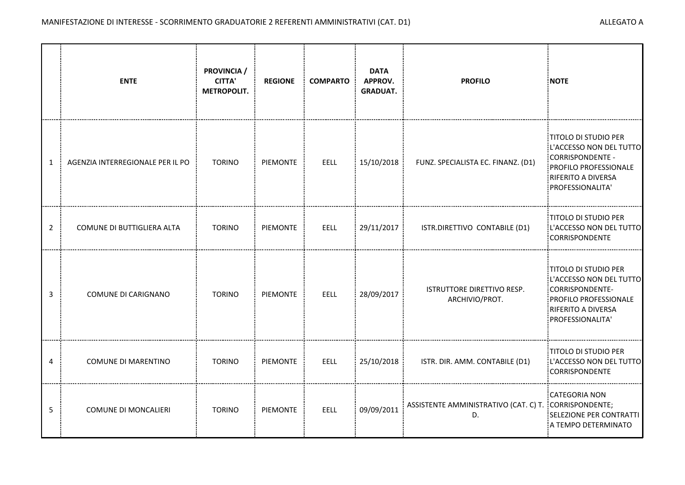|                | <b>ENTE</b>                      | PROVINCIA /<br><b>CITTA'</b><br><b>METROPOLIT.</b> | <b>REGIONE</b> | <b>COMPARTO</b> | <b>DATA</b><br>APPROV.<br><b>GRADUAT.</b> | <b>PROFILO</b>                                              | <b>NOTE</b>                                                                                                                                  |
|----------------|----------------------------------|----------------------------------------------------|----------------|-----------------|-------------------------------------------|-------------------------------------------------------------|----------------------------------------------------------------------------------------------------------------------------------------------|
| $\mathbf{1}$   | AGENZIA INTERREGIONALE PER IL PO | <b>TORINO</b>                                      | PIEMONTE       | EELL            | 15/10/2018 :                              | FUNZ. SPECIALISTA EC. FINANZ. (D1)                          | TITOLO DI STUDIO PER<br>L'ACCESSO NON DEL TUTTO<br>CORRISPONDENTE -<br>PROFILO PROFESSIONALE<br>RIFERITO A DIVERSA<br>PROFESSIONALITA'       |
| $\overline{2}$ | COMUNE DI BUTTIGLIERA ALTA       | <b>TORINO</b>                                      | PIEMONTE       | EELL            | 29/11/2017                                | ISTR.DIRETTIVO CONTABILE (D1)                               | TITOLO DI STUDIO PER<br>L'ACCESSO NON DEL TUTTO<br><b>CORRISPONDENTE</b>                                                                     |
| 3              | COMUNE DI CARIGNANO              | <b>TORINO</b>                                      | PIEMONTE       | EELL            | 28/09/2017                                | ISTRUTTORE DIRETTIVO RESP.<br>ARCHIVIO/PROT.                | <b>TITOLO DI STUDIO PER</b><br>L'ACCESSO NON DEL TUTTO<br>CORRISPONDENTE-<br>PROFILO PROFESSIONALE<br>RIFERITO A DIVERSA<br>PROFESSIONALITA' |
| 4              | COMUNE DI MARENTINO              | <b>TORINO</b>                                      | PIEMONTE       | EELL            | 25/10/2018                                | ISTR. DIR. AMM. CONTABILE (D1)                              | :TITOLO DI STUDIO PER<br>L'ACCESSO NON DEL TUTTO<br><b>CORRISPONDENTE</b>                                                                    |
| 5              | <b>COMUNE DI MONCALIERI</b>      | <b>TORINO</b>                                      | PIEMONTE       | EELL            | 09/09/2011                                | ASSISTENTE AMMINISTRATIVO (CAT. C) T. CORRISPONDENTE;<br>D. | CATEGORIA NON<br>SELEZIONE PER CONTRATTI<br>A TEMPO DETERMINATO                                                                              |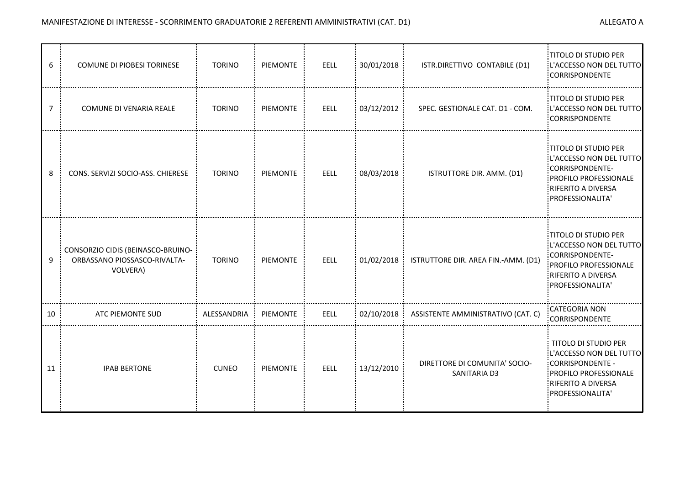| 6              | <b>COMUNE DI PIOBESI TORINESE</b>                                             | <b>TORINO</b> | PIEMONTE        | EELL        | 30/01/2018 | ISTR.DIRETTIVO CONTABILE (D1)                 | <b>TITOLO DI STUDIO PER</b><br>L'ACCESSO NON DEL TUTTO<br><b>CORRISPONDENTE</b>                                                                |
|----------------|-------------------------------------------------------------------------------|---------------|-----------------|-------------|------------|-----------------------------------------------|------------------------------------------------------------------------------------------------------------------------------------------------|
| $\overline{7}$ | COMUNE DI VENARIA REALE                                                       | <b>TORINO</b> | PIEMONTE        | EELL        | 03/12/2012 | SPEC. GESTIONALE CAT. D1 - COM.               | <b>TITOLO DI STUDIO PER</b><br>L'ACCESSO NON DEL TUTTO<br>CORRISPONDENTE                                                                       |
| 8              | CONS. SERVIZI SOCIO-ASS. CHIERESE                                             | <b>TORINO</b> | PIEMONTE        | EELL        | 08/03/2018 | ISTRUTTORE DIR. AMM. (D1)                     | TITOLO DI STUDIO PER<br>L'ACCESSO NON DEL TUTTO<br>CORRISPONDENTE-<br>PROFILO PROFESSIONALE<br><b>RIFERITO A DIVERSA</b><br>PROFESSIONALITA'   |
| 9              | CONSORZIO CIDIS (BEINASCO-BRUINO-<br>ORBASSANO PIOSSASCO-RIVALTA-<br>VOLVERA) | <b>TORINO</b> | PIEMONTE        | EELL        | 01/02/2018 | ISTRUTTORE DIR. AREA FIN.-AMM. (D1)           | <b>TITOLO DI STUDIO PER</b><br>L'ACCESSO NON DEL TUTTO<br>:CORRISPONDENTE-<br>PROFILO PROFESSIONALE<br>RIFERITO A DIVERSA<br>PROFESSIONALITA'  |
| 10             | ATC PIEMONTE SUD                                                              | ALESSANDRIA   | PIEMONTE        | <b>EELL</b> | 02/10/2018 | ASSISTENTE AMMINISTRATIVO (CAT. C)            | CATEGORIA NON<br>CORRISPONDENTE                                                                                                                |
| 11             | <b>IPAB BERTONE</b>                                                           | <b>CUNEO</b>  | <b>PIEMONTE</b> | EELL        | 13/12/2010 | DIRETTORE DI COMUNITA' SOCIO-<br>SANITARIA D3 | <b>TITOLO DI STUDIO PER</b><br>L'ACCESSO NON DEL TUTTO<br>:CORRISPONDENTE -<br>PROFILO PROFESSIONALE<br>RIFERITO A DIVERSA<br>PROFESSIONALITA' |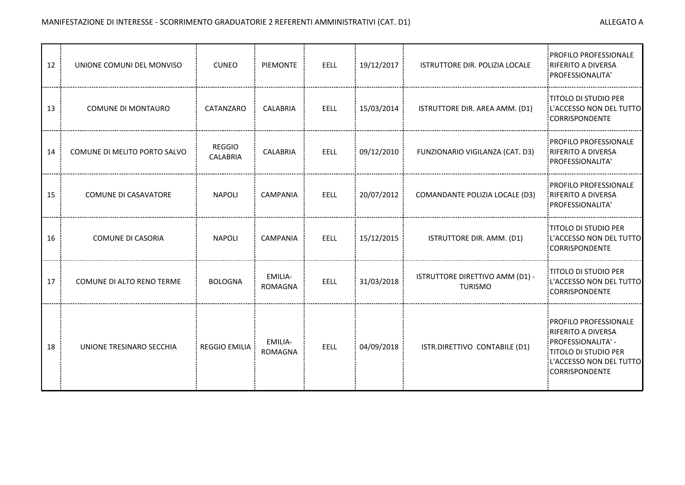| 12 | UNIONE COMUNI DEL MONVISO    | <b>CUNEO</b>                     | <b>PIEMONTE</b>           | <b>EELL</b> | 19/12/2017 | ISTRUTTORE DIR. POLIZIA LOCALE                    | PROFILO PROFESSIONALE<br>RIFERITO A DIVERSA<br>PROFESSIONALITA'                                                                                 |
|----|------------------------------|----------------------------------|---------------------------|-------------|------------|---------------------------------------------------|-------------------------------------------------------------------------------------------------------------------------------------------------|
| 13 | <b>COMUNE DI MONTAURO</b>    | CATANZARO                        | <b>CALABRIA</b>           | <b>EELL</b> | 15/03/2014 | ISTRUTTORE DIR. AREA AMM. (D1)                    | TITOLO DI STUDIO PER<br>L'ACCESSO NON DEL TUTTO<br><b>CORRISPONDENTE</b>                                                                        |
| 14 | COMUNE DI MELITO PORTO SALVO | <b>REGGIO</b><br><b>CALABRIA</b> | <b>CALABRIA</b>           | <b>EELL</b> | 09/12/2010 | FUNZIONARIO VIGILANZA (CAT. D3)                   | PROFILO PROFESSIONALE<br><b>RIFERITO A DIVERSA</b><br>PROFESSIONALITA'                                                                          |
| 15 | <b>COMUNE DI CASAVATORE</b>  | <b>NAPOLI</b>                    | <b>CAMPANIA</b>           | EELL        | 20/07/2012 | COMANDANTE POLIZIA LOCALE (D3)                    | PROFILO PROFESSIONALE<br><b>RIFERITO A DIVERSA</b><br>PROFESSIONALITA'                                                                          |
| 16 | <b>COMUNE DI CASORIA</b>     | <b>NAPOLI</b>                    | <b>CAMPANIA</b>           | EELL        | 15/12/2015 | ISTRUTTORE DIR. AMM. (D1)                         | <b>TITOLO DI STUDIO PER</b><br>L'ACCESSO NON DEL TUTTO<br>CORRISPONDENTE                                                                        |
| 17 | COMUNE DI ALTO RENO TERME    | <b>BOLOGNA</b>                   | EMILIA-<br><b>ROMAGNA</b> | <b>EELL</b> | 31/03/2018 | ISTRUTTORE DIRETTIVO AMM (D1) -<br><b>TURISMO</b> | TITOLO DI STUDIO PER<br>L'ACCESSO NON DEL TUTTO<br>CORRISPONDENTE                                                                               |
| 18 | UNIONE TRESINARO SECCHIA     | <b>REGGIO EMILIA</b>             | EMILIA-<br>ROMAGNA        | <b>EELL</b> | 04/09/2018 | ISTR.DIRETTIVO CONTABILE (D1)                     | PROFILO PROFESSIONALE<br><b>RIFERITO A DIVERSA</b><br>: PROFESSIONALITA' -<br>TITOLO DI STUDIO PER<br>L'ACCESSO NON DEL TUTTO<br>CORRISPONDENTE |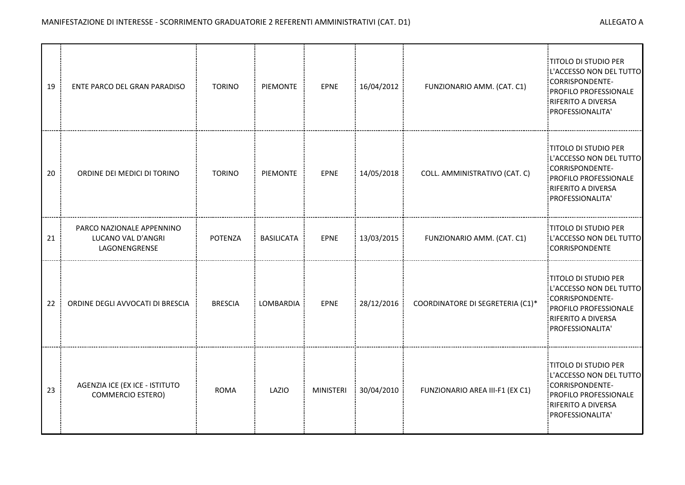| 19 | ENTE PARCO DEL GRAN PARADISO                                     | <b>TORINO</b>  | PIEMONTE          | EPNE             | 16/04/2012 | FUNZIONARIO AMM. (CAT. C1)       | <b>TITOLO DI STUDIO PER</b><br>L'ACCESSO NON DEL TUTTO<br><b>CORRISPONDENTE-</b><br>PROFILO PROFESSIONALE<br>RIFERITO A DIVERSA<br>PROFESSIONALITA'  |
|----|------------------------------------------------------------------|----------------|-------------------|------------------|------------|----------------------------------|------------------------------------------------------------------------------------------------------------------------------------------------------|
| 20 | ORDINE DEI MEDICI DI TORINO                                      | <b>TORINO</b>  | <b>PIEMONTE</b>   | <b>EPNE</b>      | 14/05/2018 | COLL. AMMINISTRATIVO (CAT. C)    | <b>TITOLO DI STUDIO PER</b><br>L'ACCESSO NON DEL TUTTO<br>:CORRISPONDENTE-<br>PROFILO PROFESSIONALE<br>RIFERITO A DIVERSA<br>PROFESSIONALITA'        |
| 21 | PARCO NAZIONALE APPENNINO<br>LUCANO VAL D'ANGRI<br>LAGONENGRENSE | POTENZA        | <b>BASILICATA</b> | EPNE             | 13/03/2015 | FUNZIONARIO AMM. (CAT. C1)       | :TITOLO DI STUDIO PER<br>L'ACCESSO NON DEL TUTTO<br>CORRISPONDENTE                                                                                   |
| 22 | ORDINE DEGLI AVVOCATI DI BRESCIA                                 | <b>BRESCIA</b> | LOMBARDIA         | EPNE             | 28/12/2016 | COORDINATORE DI SEGRETERIA (C1)* | <b>TITOLO DI STUDIO PER</b><br>L'ACCESSO NON DEL TUTTO<br>CORRISPONDENTE-<br>PROFILO PROFESSIONALE<br>RIFERITO A DIVERSA<br>PROFESSIONALITA'         |
| 23 | AGENZIA ICE (EX ICE - ISTITUTO<br><b>COMMERCIO ESTERO)</b>       | <b>ROMA</b>    | LAZIO             | <b>MINISTERI</b> | 30/04/2010 | FUNZIONARIO AREA III-F1 (EX C1)  | <b>TITOLO DI STUDIO PER</b><br>L'ACCESSO NON DEL TUTTO<br>:CORRISPONDENTE-<br>PROFILO PROFESSIONALE<br><b>RIFERITO A DIVERSA</b><br>PROFESSIONALITA' |